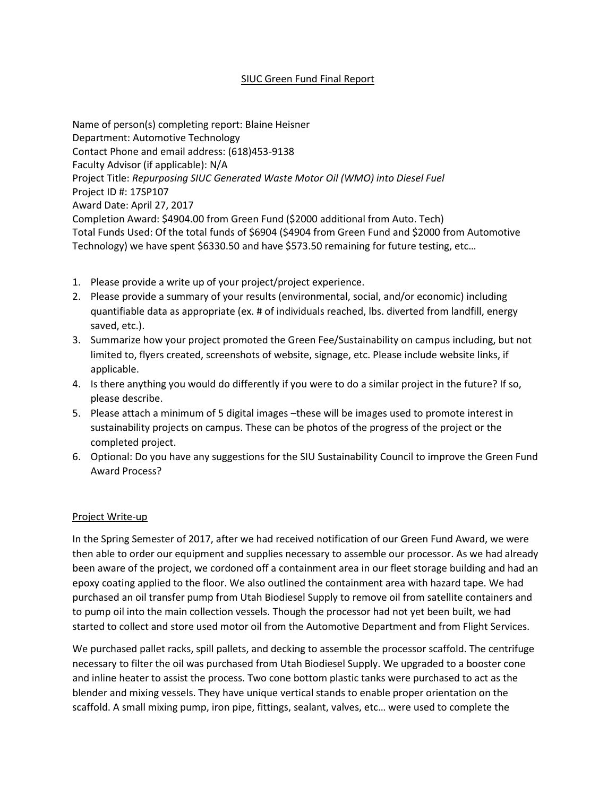# SIUC Green Fund Final Report

Name of person(s) completing report: Blaine Heisner Department: Automotive Technology Contact Phone and email address: (618)453-9138 Faculty Advisor (if applicable): N/A Project Title: *Repurposing SIUC Generated Waste Motor Oil (WMO) into Diesel Fuel* Project ID #: 17SP107 Award Date: April 27, 2017 Completion Award: \$4904.00 from Green Fund (\$2000 additional from Auto. Tech) Total Funds Used: Of the total funds of \$6904 (\$4904 from Green Fund and \$2000 from Automotive Technology) we have spent \$6330.50 and have \$573.50 remaining for future testing, etc…

- 1. Please provide a write up of your project/project experience.
- 2. Please provide a summary of your results (environmental, social, and/or economic) including quantifiable data as appropriate (ex. # of individuals reached, lbs. diverted from landfill, energy saved, etc.).
- 3. Summarize how your project promoted the Green Fee/Sustainability on campus including, but not limited to, flyers created, screenshots of website, signage, etc. Please include website links, if applicable.
- 4. Is there anything you would do differently if you were to do a similar project in the future? If so, please describe.
- 5. Please attach a minimum of 5 digital images –these will be images used to promote interest in sustainability projects on campus. These can be photos of the progress of the project or the completed project.
- 6. Optional: Do you have any suggestions for the SIU Sustainability Council to improve the Green Fund Award Process?

#### Project Write-up

In the Spring Semester of 2017, after we had received notification of our Green Fund Award, we were then able to order our equipment and supplies necessary to assemble our processor. As we had already been aware of the project, we cordoned off a containment area in our fleet storage building and had an epoxy coating applied to the floor. We also outlined the containment area with hazard tape. We had purchased an oil transfer pump from Utah Biodiesel Supply to remove oil from satellite containers and to pump oil into the main collection vessels. Though the processor had not yet been built, we had started to collect and store used motor oil from the Automotive Department and from Flight Services.

We purchased pallet racks, spill pallets, and decking to assemble the processor scaffold. The centrifuge necessary to filter the oil was purchased from Utah Biodiesel Supply. We upgraded to a booster cone and inline heater to assist the process. Two cone bottom plastic tanks were purchased to act as the blender and mixing vessels. They have unique vertical stands to enable proper orientation on the scaffold. A small mixing pump, iron pipe, fittings, sealant, valves, etc… were used to complete the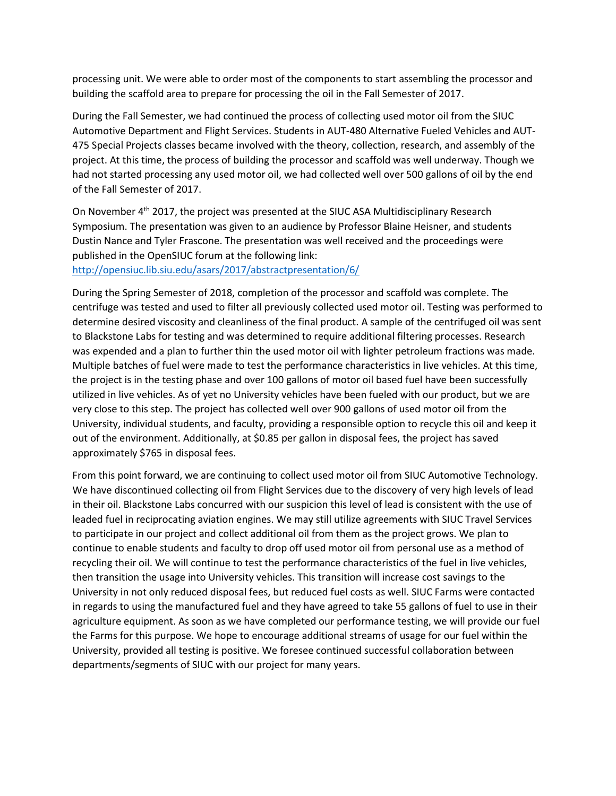processing unit. We were able to order most of the components to start assembling the processor and building the scaffold area to prepare for processing the oil in the Fall Semester of 2017.

During the Fall Semester, we had continued the process of collecting used motor oil from the SIUC Automotive Department and Flight Services. Students in AUT-480 Alternative Fueled Vehicles and AUT-475 Special Projects classes became involved with the theory, collection, research, and assembly of the project. At this time, the process of building the processor and scaffold was well underway. Though we had not started processing any used motor oil, we had collected well over 500 gallons of oil by the end of the Fall Semester of 2017.

On November 4<sup>th</sup> 2017, the project was presented at the SIUC ASA Multidisciplinary Research Symposium. The presentation was given to an audience by Professor Blaine Heisner, and students Dustin Nance and Tyler Frascone. The presentation was well received and the proceedings were published in the OpenSIUC forum at the following link:

<http://opensiuc.lib.siu.edu/asars/2017/abstractpresentation/6/>

During the Spring Semester of 2018, completion of the processor and scaffold was complete. The centrifuge was tested and used to filter all previously collected used motor oil. Testing was performed to determine desired viscosity and cleanliness of the final product. A sample of the centrifuged oil was sent to Blackstone Labs for testing and was determined to require additional filtering processes. Research was expended and a plan to further thin the used motor oil with lighter petroleum fractions was made. Multiple batches of fuel were made to test the performance characteristics in live vehicles. At this time, the project is in the testing phase and over 100 gallons of motor oil based fuel have been successfully utilized in live vehicles. As of yet no University vehicles have been fueled with our product, but we are very close to this step. The project has collected well over 900 gallons of used motor oil from the University, individual students, and faculty, providing a responsible option to recycle this oil and keep it out of the environment. Additionally, at \$0.85 per gallon in disposal fees, the project has saved approximately \$765 in disposal fees.

From this point forward, we are continuing to collect used motor oil from SIUC Automotive Technology. We have discontinued collecting oil from Flight Services due to the discovery of very high levels of lead in their oil. Blackstone Labs concurred with our suspicion this level of lead is consistent with the use of leaded fuel in reciprocating aviation engines. We may still utilize agreements with SIUC Travel Services to participate in our project and collect additional oil from them as the project grows. We plan to continue to enable students and faculty to drop off used motor oil from personal use as a method of recycling their oil. We will continue to test the performance characteristics of the fuel in live vehicles, then transition the usage into University vehicles. This transition will increase cost savings to the University in not only reduced disposal fees, but reduced fuel costs as well. SIUC Farms were contacted in regards to using the manufactured fuel and they have agreed to take 55 gallons of fuel to use in their agriculture equipment. As soon as we have completed our performance testing, we will provide our fuel the Farms for this purpose. We hope to encourage additional streams of usage for our fuel within the University, provided all testing is positive. We foresee continued successful collaboration between departments/segments of SIUC with our project for many years.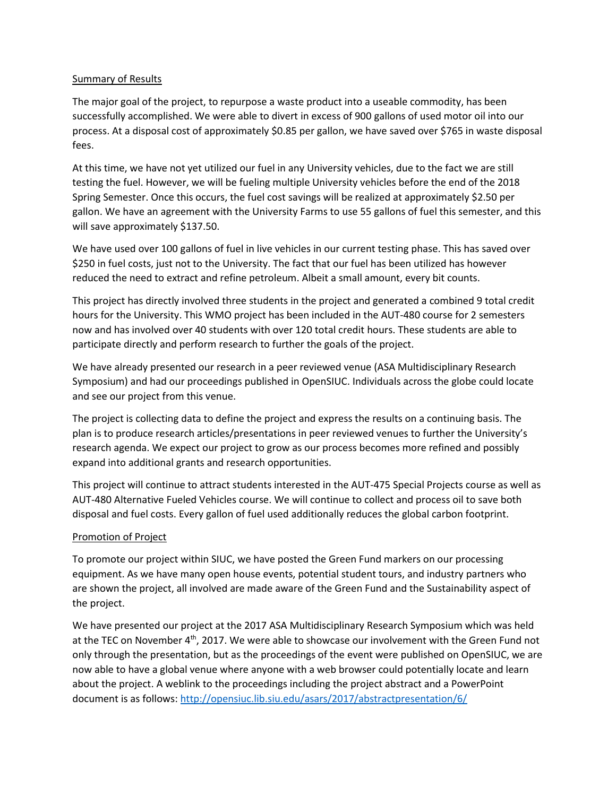#### Summary of Results

The major goal of the project, to repurpose a waste product into a useable commodity, has been successfully accomplished. We were able to divert in excess of 900 gallons of used motor oil into our process. At a disposal cost of approximately \$0.85 per gallon, we have saved over \$765 in waste disposal fees.

At this time, we have not yet utilized our fuel in any University vehicles, due to the fact we are still testing the fuel. However, we will be fueling multiple University vehicles before the end of the 2018 Spring Semester. Once this occurs, the fuel cost savings will be realized at approximately \$2.50 per gallon. We have an agreement with the University Farms to use 55 gallons of fuel this semester, and this will save approximately \$137.50.

We have used over 100 gallons of fuel in live vehicles in our current testing phase. This has saved over \$250 in fuel costs, just not to the University. The fact that our fuel has been utilized has however reduced the need to extract and refine petroleum. Albeit a small amount, every bit counts.

This project has directly involved three students in the project and generated a combined 9 total credit hours for the University. This WMO project has been included in the AUT-480 course for 2 semesters now and has involved over 40 students with over 120 total credit hours. These students are able to participate directly and perform research to further the goals of the project.

We have already presented our research in a peer reviewed venue (ASA Multidisciplinary Research Symposium) and had our proceedings published in OpenSIUC. Individuals across the globe could locate and see our project from this venue.

The project is collecting data to define the project and express the results on a continuing basis. The plan is to produce research articles/presentations in peer reviewed venues to further the University's research agenda. We expect our project to grow as our process becomes more refined and possibly expand into additional grants and research opportunities.

This project will continue to attract students interested in the AUT-475 Special Projects course as well as AUT-480 Alternative Fueled Vehicles course. We will continue to collect and process oil to save both disposal and fuel costs. Every gallon of fuel used additionally reduces the global carbon footprint.

#### Promotion of Project

To promote our project within SIUC, we have posted the Green Fund markers on our processing equipment. As we have many open house events, potential student tours, and industry partners who are shown the project, all involved are made aware of the Green Fund and the Sustainability aspect of the project.

We have presented our project at the 2017 ASA Multidisciplinary Research Symposium which was held at the TEC on November 4<sup>th</sup>, 2017. We were able to showcase our involvement with the Green Fund not only through the presentation, but as the proceedings of the event were published on OpenSIUC, we are now able to have a global venue where anyone with a web browser could potentially locate and learn about the project. A weblink to the proceedings including the project abstract and a PowerPoint document is as follows:<http://opensiuc.lib.siu.edu/asars/2017/abstractpresentation/6/>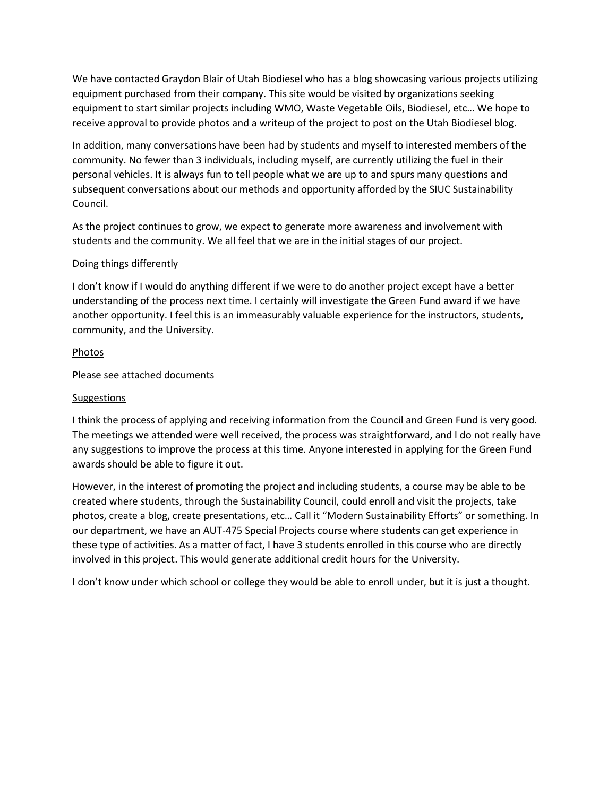We have contacted Graydon Blair of Utah Biodiesel who has a blog showcasing various projects utilizing equipment purchased from their company. This site would be visited by organizations seeking equipment to start similar projects including WMO, Waste Vegetable Oils, Biodiesel, etc… We hope to receive approval to provide photos and a writeup of the project to post on the Utah Biodiesel blog.

In addition, many conversations have been had by students and myself to interested members of the community. No fewer than 3 individuals, including myself, are currently utilizing the fuel in their personal vehicles. It is always fun to tell people what we are up to and spurs many questions and subsequent conversations about our methods and opportunity afforded by the SIUC Sustainability Council.

As the project continues to grow, we expect to generate more awareness and involvement with students and the community. We all feel that we are in the initial stages of our project.

# Doing things differently

I don't know if I would do anything different if we were to do another project except have a better understanding of the process next time. I certainly will investigate the Green Fund award if we have another opportunity. I feel this is an immeasurably valuable experience for the instructors, students, community, and the University.

# Photos

Please see attached documents

### Suggestions

I think the process of applying and receiving information from the Council and Green Fund is very good. The meetings we attended were well received, the process was straightforward, and I do not really have any suggestions to improve the process at this time. Anyone interested in applying for the Green Fund awards should be able to figure it out.

However, in the interest of promoting the project and including students, a course may be able to be created where students, through the Sustainability Council, could enroll and visit the projects, take photos, create a blog, create presentations, etc… Call it "Modern Sustainability Efforts" or something. In our department, we have an AUT-475 Special Projects course where students can get experience in these type of activities. As a matter of fact, I have 3 students enrolled in this course who are directly involved in this project. This would generate additional credit hours for the University.

I don't know under which school or college they would be able to enroll under, but it is just a thought.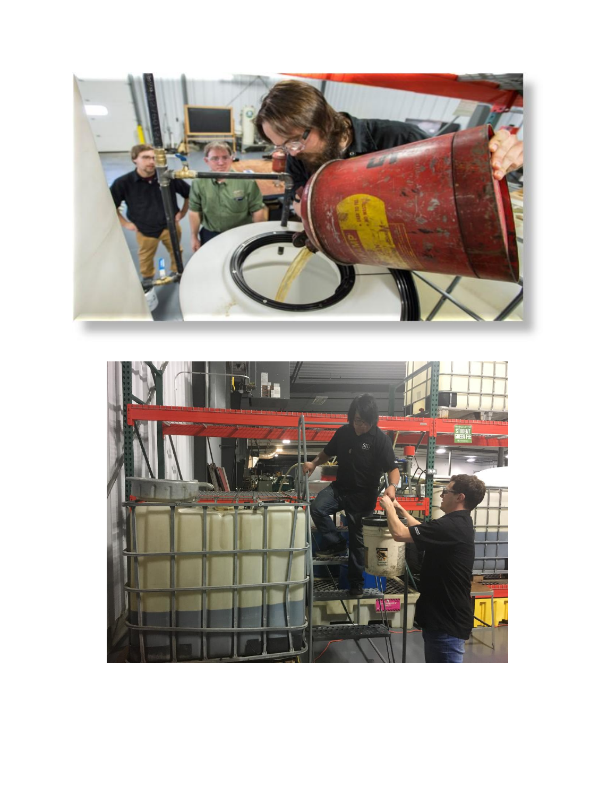